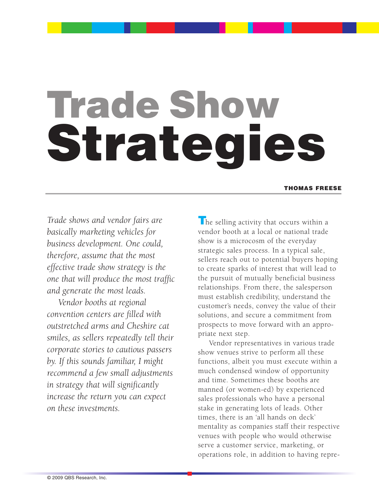# **Trade Show Strategies**

#### **THOMAS FREESE**

*Trade shows and vendor fairs are basically marketing vehicles for business development. One could, therefore, assume that the most effective trade show strategy is the one that will produce the most traffic and generate the most leads.*

*Vendor booths at regional convention centers are filled with outstretched arms and Cheshire cat smiles, as sellers repeatedly tell their corporate stories to cautious passers by. If this sounds familiar, I might recommend a few small adjustments in strategy that will significantly increase the return you can expect on these investments.*

**T**he selling activity that occurs within a vendor booth at a local or national trade show is a microcosm of the everyday strategic sales process. In a typical sale, sellers reach out to potential buyers hoping to create sparks of interest that will lead to the pursuit of mutually beneficial business relationships. From there, the salesperson must establish credibility, understand the customer's needs, convey the value of their solutions, and secure a commitment from prospects to move forward with an appropriate next step.

Vendor representatives in various trade show venues strive to perform all these functions, albeit you must execute within a much condensed window of opportunity and time. Sometimes these booths are manned (or women-ed) by experienced sales professionals who have a personal stake in generating lots of leads. Other times, there is an 'all hands on deck' mentality as companies staff their respective venues with people who would otherwise serve a customer service, marketing, or operations role, in addition to having repre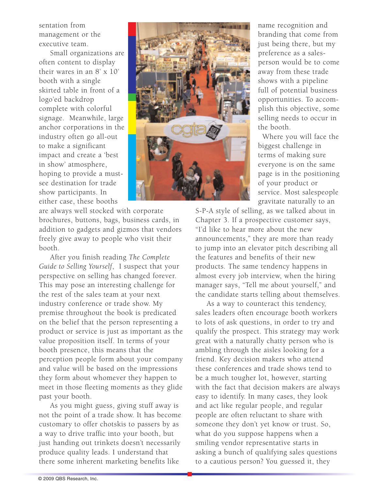sentation from management or the executive team.

Small organizations are often content to display their wares in an 8' x 10' booth with a single skirted table in front of a logo'ed backdrop complete with colorful signage. Meanwhile, large anchor corporations in the industry often go all-out to make a significant impact and create a 'best in show' atmosphere, hoping to provide a mustsee destination for trade show participants. In either case, these booths



name recognition and branding that come from just being there, but my preference as a salesperson would be to come away from these trade shows with a pipeline full of potential business opportunities. To accomplish this objective, some selling needs to occur in the booth.

Where you will face the biggest challenge in terms of making sure everyone is on the same page is in the positioning of your product or service. Most salespeople gravitate naturally to an

are always well stocked with corporate brochures, buttons, bags, business cards, in addition to gadgets and gizmos that vendors freely give away to people who visit their booth.

After you finish reading *The Complete Guide to Selling Yourself*, I suspect that your perspective on selling has changed forever. This may pose an interesting challenge for the rest of the sales team at your next industry conference or trade show. My premise throughout the book is predicated on the belief that the person representing a product or service is just as important as the value proposition itself. In terms of your booth presence, this means that the perception people form about your company and value will be based on the impressions they form about whomever they happen to meet in those fleeting moments as they glide past your booth.

As you might guess, giving stuff away is not the point of a trade show. It has become customary to offer chotskis to passers by as a way to drive traffic into your booth, but just handing out trinkets doesn't necessarily produce quality leads. I understand that there some inherent marketing benefits like

S-P-A style of selling, as we talked about in Chapter 3. If a prospective customer says, "I'd like to hear more about the new announcements," they are more than ready to jump into an elevator pitch describing all the features and benefits of their new products. The same tendency happens in almost every job interview, when the hiring manager says, "Tell me about yourself," and the candidate starts telling about themselves.

As a way to counteract this tendency, sales leaders often encourage booth workers to lots of ask questions, in order to try and qualify the prospect. This strategy may work great with a naturally chatty person who is ambling through the aisles looking for a friend. Key decision makers who attend these conferences and trade shows tend to be a much tougher lot, however, starting with the fact that decision makers are always easy to identify. In many cases, they look and act like regular people, and regular people are often reluctant to share with someone they don't yet know or trust. So, what do you suppose happens when a smiling vendor representative starts in asking a bunch of qualifying sales questions to a cautious person? You guessed it, they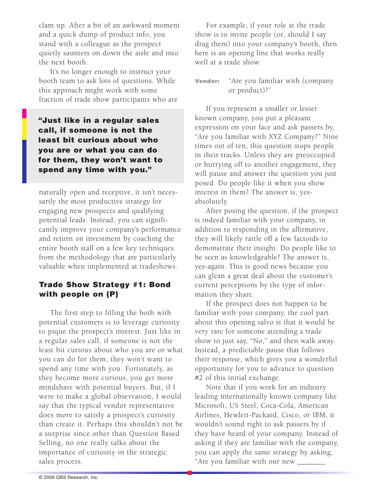clam up. After a bit of an awkward moment and a quick dump of product info, you stand with a colleague as the prospect quietly saunters on down the aisle and into the next booth.

It's no longer enough to instruct your booth team to ask lots of questions. While this approach might work with some fraction of trade show participants who are

**"Just like in a regular sales call, if someone is not the least bit curious about who you are or what you can do for them, they won't want to spend any time with you."**

naturally open and receptive, it isn't necessarily the most productive strategy for engaging new prospects and qualifying potential leads. Instead, you can significantly improve your company's performance and return on investment by coaching the entire booth staff on a few key techniques from the methodology that are particularly valuable when implemented at tradeshows.

# **Trade Show Strategy #1: Bond with people on (P)**

The first step to filling the both with potential customers is to leverage curiosity to pique the prospect's interest. Just like in a regular sales call, if someone is not the least bit curious about who you are or what you can do for them, they won't want to spend any time with you. Fortunately, as they become more curious, you get more mindshare with potential buyers. But, if I were to make a global observation, I would say that the typical vendor representative does more to satisfy a prospect's curiosity than create it. Perhaps this shouldn't not be a surprise since other than Question Based Selling, no one really talks about the importance of curiosity in the strategic sales process.

For example, if your role at the trade show is to invite people (or, should I say drag them) into your company's booth, then here is an opening line that works really well at a trade show.

### **Vendor:** "Are you familiar with (company or product)?"

If you represent a smaller or lesser known company, you put a pleasant expression on your face and ask passers by, "Are you familiar with XYZ Company?" Nine times out of ten, this question stops people in their tracks. Unless they are preoccupied or hurrying off to another engagement, they will pause and answer the question you just posed. Do people like it when you show interest in them? The answer is, yesabsolutely.

After posing the question, if the prospect is indeed familiar with your company, in addition to responding in the affirmative, they will likely rattle off a few factoids to demonstrate their insight. Do people like to be seen as knowledgeable? The answer is, yes-again. This is good news because you can glean a great deal about the customer's current perceptions by the type of information they share.

If the prospect does not happen to be familiar with your company, the cool part about this opening salvo is that it would be very rare for someone attending a trade show to just say, "No," and then walk away. Instead, a predictable pause that follows their response, which gives you a wonderful opportunity for you to advance to question #2 of this initial exchange.

Note that if you work for an industry leading internationally known company like Microsoft, US Steel, Coca-Cola, American Airlines, Hewlett-Packard, Cisco, or IBM, it wouldn't sound right to ask passers by if they have heard of your company. Instead of asking if they are familiar with the company, you can apply the same strategy by asking, "Are you familiar with our new \_\_\_\_\_\_\_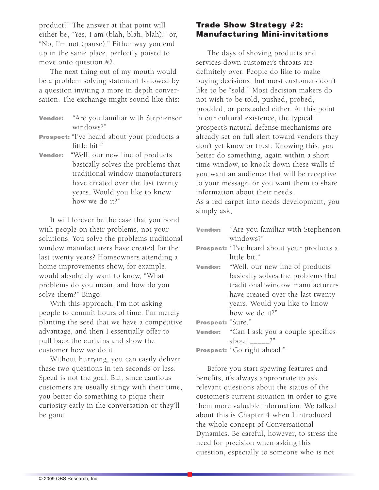product?" The answer at that point will either be, "Yes, I am (blah, blah, blah)," or, "No, I'm not (pause)." Either way you end up in the same place, perfectly poised to move onto question #2.

The next thing out of my mouth would be a problem solving statement followed by a question inviting a more in depth conversation. The exchange might sound like this:

- **Vendor:** "Are you familiar with Stephenson windows?"
- **Prospect:** "I've heard about your products a little bit."
- **Vendor:** "Well, our new line of products basically solves the problems that traditional window manufacturers have created over the last twenty years. Would you like to know how we do it?"

It will forever be the case that you bond with people on their problems, not your solutions. You solve the problems traditional window manufacturers have created for the last twenty years? Homeowners attending a home improvements show, for example, would absolutely want to know, "What problems do you mean, and how do you solve them?" Bingo!

With this approach, I'm not asking people to commit hours of time. I'm merely planting the seed that we have a competitive advantage, and then I essentially offer to pull back the curtains and show the customer how we do it.

Without hurrying, you can easily deliver these two questions in ten seconds or less. Speed is not the goal. But, since cautious customers are usually stingy with their time, you better do something to pique their curiosity early in the conversation or they'll be gone.

# **Trade Show Strategy #2: Manufacturing Mini-invitations**

The days of shoving products and services down customer's throats are definitely over. People do like to make buying decisions, but most customers don't like to be "sold." Most decision makers do not wish to be told, pushed, probed, prodded, or persuaded either. At this point in our cultural existence, the typical prospect's natural defense mechanisms are already set on full alert toward vendors they don't yet know or trust. Knowing this, you better do something, again within a short time window, to knock down these walls if you want an audience that will be receptive to your message, or you want them to share information about their needs.

As a red carpet into needs development, you simply ask,

**Vendor:** "Are you familiar with Stephenson windows?" **Prospect:** "I've heard about your products a little bit." **Vendor:** "Well, our new line of products basically solves the problems that traditional window manufacturers have created over the last twenty years. Would you like to know how we do it?" **Prospect:** "Sure." **Vendor:** "Can I ask you a couple specifics about ?" **Prospect:** "Go right ahead."

Before you start spewing features and benefits, it's always appropriate to ask relevant questions about the status of the customer's current situation in order to give them more valuable information. We talked about this is Chapter 4 when I introduced the whole concept of Conversational Dynamics. Be careful, however, to stress the need for precision when asking this question, especially to someone who is not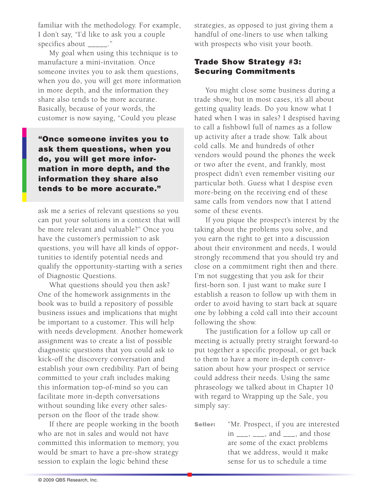familiar with the methodology. For example, I don't say, "I'd like to ask you a couple specifics about \_\_\_\_\_\_\_."

My goal when using this technique is to manufacture a mini-invitation. Once someone invites you to ask them questions, when you do, you will get more information in more depth, and the information they share also tends to be more accurate. Basically, because of your words, the customer is now saying, "Could you please

**"Once someone invites you to ask them questions, when you do, you will get more information in more depth, and the information they share also tends to be more accurate."**

ask me a series of relevant questions so you can put your solutions in a context that will be more relevant and valuable?" Once you have the customer's permission to ask questions, you will have all kinds of opportunities to identify potential needs and qualify the opportunity-starting with a series of Diagnostic Questions.

What questions should you then ask? One of the homework assignments in the book was to build a repository of possible business issues and implications that might be important to a customer. This will help with needs development. Another homework assignment was to create a list of possible diagnostic questions that you could ask to kick-off the discovery conversation and establish your own credibility. Part of being committed to your craft includes making this information top-of-mind so you can facilitate more in-depth conversations without sounding like every other salesperson on the floor of the trade show.

If there are people working in the booth who are not in sales and would not have committed this information to memory, you would be smart to have a pre-show strategy session to explain the logic behind these

strategies, as opposed to just giving them a handful of one-liners to use when talking with prospects who visit your booth.

# **Trade Show Strategy #3: Securing Commitments**

You might close some business during a trade show, but in most cases, it's all about getting quality leads. Do you know what I hated when I was in sales? I despised having to call a fishbowl full of names as a follow up activity after a trade show. Talk about cold calls. Me and hundreds of other vendors would pound the phones the week or two after the event, and frankly, most prospect didn't even remember visiting our particular both. Guess what I despise even more-being on the receiving end of these same calls from vendors now that I attend some of these events.

If you pique the prospect's interest by the taking about the problems you solve, and you earn the right to get into a discussion about their environment and needs, I would strongly recommend that you should try and close on a commitment right then and there. I'm not suggesting that you ask for their first-born son. I just want to make sure I establish a reason to follow up with them in order to avoid having to start back at square one by lobbing a cold call into their account following the show.

The justification for a follow up call or meeting is actually pretty straight forward-to put together a specific proposal, or get back to them to have a more in-depth conversation about how your prospect or service could address their needs. Using the same phraseology we talked about in Chapter 10 with regard to Wrapping up the Sale, you simply say:

**Seller:** "Mr. Prospect, if you are interested in  $\frac{1}{\sqrt{2}}$ ,  $\frac{1}{\sqrt{2}}$ , and  $\frac{1}{\sqrt{2}}$ , and those are some of the exact problems that we address, would it make sense for us to schedule a time